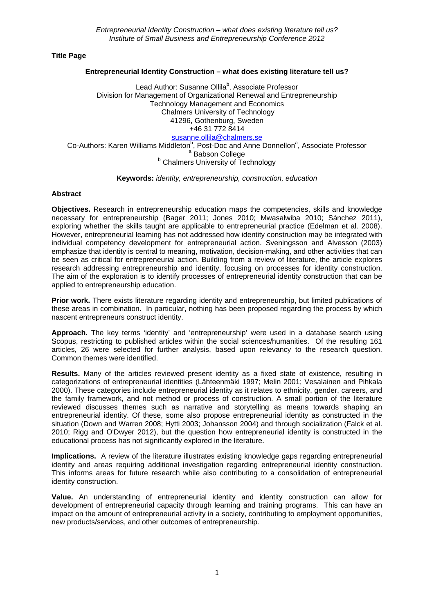**Title Page**

# **Entrepreneurial Identity Construction – what does existing literature tell us?**

Lead Author: Susanne Ollila<sup>b</sup>, Associate Professor Division for Management of Organizational Renewal and Entrepreneurship Technology Management and Economics Chalmers University of Technology 41296, Gothenburg, Sweden +46 31 772 8414 [susanne.ollila@chalmers.se](mailto:susanne.ollila@chalmers.se) Co-Authors: Karen Williams Middleton<sup>b</sup>, Post-Doc and Anne Donnellon<sup>a</sup>, Associate Professor<br><sup>a</sup> Babson College<br><sup>b</sup> Chalmers University of Technology

### **Keywords:** *identity, entrepreneurship, construction, education*

## **Abstract**

**Objectives.** Research in entrepreneurship education maps the competencies, skills and knowledge necessary for entrepreneurship (Bager 2011; Jones 2010; Mwasalwiba 2010; Sánchez 2011), exploring whether the skills taught are applicable to entrepreneurial practice (Edelman et al. 2008). However, entrepreneurial learning has not addressed how identity construction may be integrated with individual competency development for entrepreneurial action. Sveningsson and Alvesson (2003) emphasize that identity is central to meaning, motivation, decision-making, and other activities that can be seen as critical for entrepreneurial action. Building from a review of literature, the article explores research addressing entrepreneurship and identity, focusing on processes for identity construction. The aim of the exploration is to identify processes of entrepreneurial identity construction that can be applied to entrepreneurship education.

**Prior work.** There exists literature regarding identity and entrepreneurship, but limited publications of these areas in combination. In particular, nothing has been proposed regarding the process by which nascent entrepreneurs construct identity.

**Approach.** The key terms 'identity' and 'entrepreneurship' were used in a database search using Scopus, restricting to published articles within the social sciences/humanities. Of the resulting 161 articles, 26 were selected for further analysis, based upon relevancy to the research question. Common themes were identified.

**Results.** Many of the articles reviewed present identity as a fixed state of existence, resulting in categorizations of entrepreneurial identities (Lähteenmäki 1997; Melin 2001; Vesalainen and Pihkala 2000). These categories include entrepreneurial identity as it relates to ethnicity, gender, careers, and the family framework, and not method or process of construction. A small portion of the literature reviewed discusses themes such as narrative and storytelling as means towards shaping an entrepreneurial identity. Of these, some also propose entrepreneurial identity as constructed in the situation (Down and Warren 2008; Hytti 2003; Johansson 2004) and through socialization (Falck et al. 2010; Rigg and O'Dwyer 2012), but the question how entrepreneurial identity is constructed in the educational process has not significantly explored in the literature.

**Implications.** A review of the literature illustrates existing knowledge gaps regarding entrepreneurial identity and areas requiring additional investigation regarding entrepreneurial identity construction. This informs areas for future research while also contributing to a consolidation of entrepreneurial identity construction.

**Value.** An understanding of entrepreneurial identity and identity construction can allow for development of entrepreneurial capacity through learning and training programs. This can have an impact on the amount of entrepreneurial activity in a society, contributing to employment opportunities, new products/services, and other outcomes of entrepreneurship.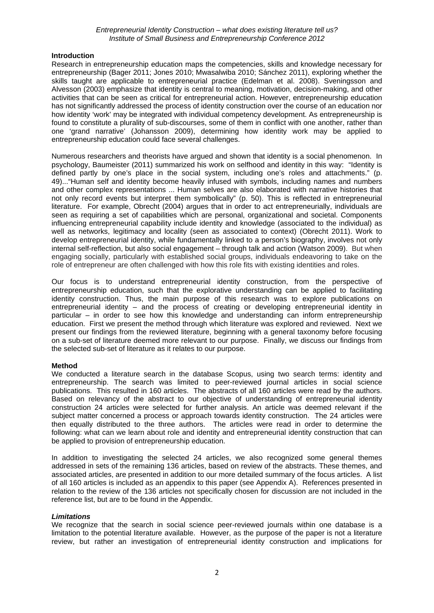## **Introduction**

Research in entrepreneurship education maps the competencies, skills and knowledge necessary for entrepreneurship (Bager 2011; Jones 2010; Mwasalwiba 2010; Sánchez 2011), exploring whether the skills taught are applicable to entrepreneurial practice (Edelman et al. 2008). Sveningsson and Alvesson (2003) emphasize that identity is central to meaning, motivation, decision-making, and other activities that can be seen as critical for entrepreneurial action. However, entrepreneurship education has not significantly addressed the process of identity construction over the course of an education nor how identity 'work' may be integrated with individual competency development. As entrepreneurship is found to constitute a plurality of sub-discourses, some of them in conflict with one another, rather than one 'grand narrative' (Johansson 2009), determining how identity work may be applied to entrepreneurship education could face several challenges.

Numerous researchers and theorists have argued and shown that identity is a social phenomenon. In psychology, Baumeister (2011) summarized his work on selfhood and identity in this way: "Identity is defined partly by one's place in the social system, including one's roles and attachments." (p. 49)..."Human self and identity become heavily infused with symbols, including names and numbers and other complex representations ... Human selves are also elaborated with narrative histories that not only record events but interpret them symbolically" (p. 50). This is reflected in entrepreneurial literature. For example, Obrecht (2004) argues that in order to act entrepreneurially, individuals are seen as requiring a set of capabilities which are personal, organizational and societal. Components influencing entrepreneurial capability include identity and knowledge (associated to the individual) as well as networks, legitimacy and locality (seen as associated to context) (Obrecht 2011). Work to develop entrepreneurial identity, while fundamentally linked to a person's biography, involves not only internal self-reflection, but also social engagement – through talk and action (Watson 2009). But when engaging socially, particularly with established social groups, individuals endeavoring to take on the role of entrepreneur are often challenged with how this role fits with existing identities and roles.

Our focus is to understand entrepreneurial identity construction, from the perspective of entrepreneurship education, such that the explorative understanding can be applied to facilitating identity construction. Thus, the main purpose of this research was to explore publications on entrepreneurial identity – and the process of creating or developing entrepreneurial identity in particular – in order to see how this knowledge and understanding can inform entrepreneurship education. First we present the method through which literature was explored and reviewed. Next we present our findings from the reviewed literature, beginning with a general taxonomy before focusing on a sub-set of literature deemed more relevant to our purpose. Finally, we discuss our findings from the selected sub-set of literature as it relates to our purpose.

# **Method**

We conducted a literature search in the database Scopus, using two search terms; identity and entrepreneurship. The search was limited to peer-reviewed journal articles in social science publications. This resulted in 160 articles. The abstracts of all 160 articles were read by the authors. Based on relevancy of the abstract to our objective of understanding of entrepreneurial identity construction 24 articles were selected for further analysis. An article was deemed relevant if the subject matter concerned a process or approach towards identity construction. The 24 articles were then equally distributed to the three authors. The articles were read in order to determine the following: what can we learn about role and identity and entrepreneurial identity construction that can be applied to provision of entrepreneurship education.

In addition to investigating the selected 24 articles, we also recognized some general themes addressed in sets of the remaining 136 articles, based on review of the abstracts. These themes, and associated articles, are presented in addition to our more detailed summary of the focus articles. A list of all 160 articles is included as an appendix to this paper (see Appendix A). References presented in relation to the review of the 136 articles not specifically chosen for discussion are not included in the reference list, but are to be found in the Appendix.

# *Limitations*

We recognize that the search in social science peer-reviewed journals within one database is a limitation to the potential literature available. However, as the purpose of the paper is not a literature review, but rather an investigation of entrepreneurial identity construction and implications for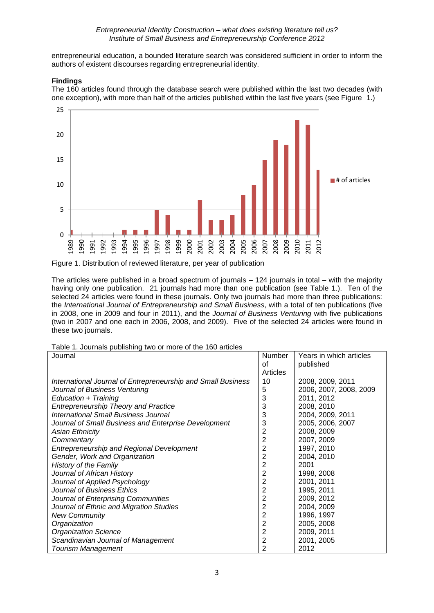entrepreneurial education, a bounded literature search was considered sufficient in order to inform the authors of existent discourses regarding entrepreneurial identity.

## **Findings**

The 160 articles found through the database search were published within the last two decades (with one exception), with more than half of the articles published within the last five years (see Figure 1.)



Figure 1. Distribution of reviewed literature, per year of publication

The articles were published in a broad spectrum of journals – 124 journals in total – with the majority having only one publication. 21 journals had more than one publication (see Table 1.). Ten of the selected 24 articles were found in these journals. Only two journals had more than three publications: the *International Journal of Entrepreneurship and Small Business*, with a total of ten publications (five in 2008, one in 2009 and four in 2011), and the *Journal of Business Venturing* with five publications (two in 2007 and one each in 2006, 2008, and 2009). Five of the selected 24 articles were found in these two journals.

Table 1. Journals publishing two or more of the 160 articles

| Journal                                                      | Number   | Years in which articles |
|--------------------------------------------------------------|----------|-------------------------|
|                                                              | 0f       | published               |
|                                                              | Articles |                         |
| International Journal of Entrepreneurship and Small Business | 10       | 2008, 2009, 2011        |
| Journal of Business Venturing                                | 5        | 2006, 2007, 2008, 2009  |
| Education + Training                                         | 3        | 2011, 2012              |
| <b>Entrepreneurship Theory and Practice</b>                  | 3        | 2008, 2010              |
| International Small Business Journal                         | 3        | 2004, 2009, 2011        |
| Journal of Small Business and Enterprise Development         | 3        | 2005, 2006, 2007        |
| <b>Asian Ethnicity</b>                                       | 2        | 2008, 2009              |
| Commentary                                                   | 2        | 2007, 2009              |
| Entrepreneurship and Regional Development                    | 2        | 1997, 2010              |
| Gender, Work and Organization                                | 2        | 2004, 2010              |
| <b>History of the Family</b>                                 | 2        | 2001                    |
| Journal of African History                                   | 2        | 1998, 2008              |
| Journal of Applied Psychology                                | 2        | 2001, 2011              |
| Journal of Business Ethics                                   | 2        | 1995, 2011              |
| Journal of Enterprising Communities                          | 2        | 2009, 2012              |
| Journal of Ethnic and Migration Studies                      | 2        | 2004, 2009              |
| <b>New Community</b>                                         | 2        | 1996, 1997              |
| Organization                                                 | 2        | 2005, 2008              |
| <b>Organization Science</b>                                  | 2        | 2009, 2011              |
| Scandinavian Journal of Management                           | 2        | 2001, 2005              |
| <b>Tourism Management</b>                                    | 2        | 2012                    |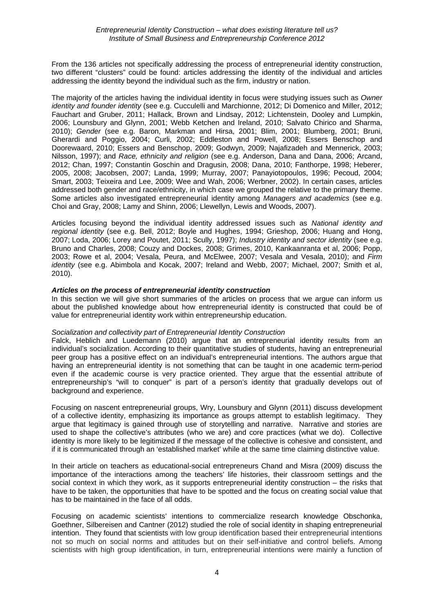From the 136 articles not specifically addressing the process of entrepreneurial identity construction, two different "clusters" could be found: articles addressing the identity of the individual and articles addressing the identity beyond the individual such as the firm, industry or nation.

The majority of the articles having the individual identity in focus were studying issues such as *Owner identity and founder identity* (see e.g. Cucculelli and Marchionne, 2012; Di Domenico and Miller, 2012; Fauchart and Gruber, 2011; Hallack, Brown and Lindsay, 2012; Lichtenstein, Dooley and Lumpkin, 2006; Lounsbury and Glynn, 2001; Webb Ketchen and Ireland, 2010; Salvato Chirico and Sharma, 2010); *Gender* (see e.g. Baron, Markman and Hirsa, 2001; Blim, 2001; Blumberg, 2001; Bruni, Gherardi and Poggio, 2004; Curli, 2002; Eddleston and Powell, 2008; Essers Benschop and Doorewaard, 2010; Essers and Benschop, 2009; Godwyn, 2009; Najafizadeh and Mennerick, 2003; Nilsson, 1997); and *Race, ethnicity and religion* (see e.g. Anderson, Dana and Dana, 2006; Arcand, 2012; Chan, 1997; Constantin Goschin and Dragusin, 2008; Dana, 2010; Fanthorpe, 1998; Heberer, 2005, 2008; Jacobsen, 2007; Landa, 1999; Murray, 2007; Panayiotopoulos, 1996; Pecoud, 2004; Smart, 2003; Teixeira and Lee, 2009; Wee and Wah, 2006; Werbner, 2002). In certain cases, articles addressed both gender and race/ethnicity, in which case we grouped the relative to the primary theme. Some articles also investigated entrepreneurial identity among *Managers and academics* (see e.g. Choi and Gray, 2008; Lamy and Shinn, 2006; Llewellyn, Lewis and Woods, 2007).

Articles focusing beyond the individual identity addressed issues such as *National identity and regional identity* (see e.g. Bell, 2012; Boyle and Hughes, 1994; Grieshop, 2006; Huang and Hong, 2007; Loda, 2006; Lorey and Poutet, 2011; Scully, 1997); *Industry identity and sector identity* (see e.g. Bruno and Charles, 2008; Couzy and Dockes, 2008; Grimes, 2010, Kankaanranta et al, 2006; Popp, 2003; Rowe et al, 2004; Vesala, Peura, and McElwee, 2007; Vesala and Vesala, 2010); and *Firm identity* (see e.g. Abimbola and Kocak, 2007; Ireland and Webb, 2007; Michael, 2007; Smith et al, 2010).

## *Articles on the process of entrepreneurial identity construction*

In this section we will give short summaries of the articles on process that we argue can inform us about the published knowledge about how entrepreneurial identity is constructed that could be of value for entrepreneurial identity work within entrepreneurship education.

### *Socialization and collectivity part of Entrepreneurial Identity Construction*

Falck, Heblich and Luedemann (2010) argue that an entrepreneurial identity results from an individual's socialization. According to their quantitative studies of students, having an entrepreneurial peer group has a positive effect on an individual's entrepreneurial intentions. The authors argue that having an entrepreneurial identity is not something that can be taught in one academic term-period even if the academic course is very practice oriented. They argue that the essential attribute of entrepreneurship's "will to conquer" is part of a person's identity that gradually develops out of background and experience.

Focusing on nascent entrepreneurial groups, Wry, Lounsbury and Glynn (2011) discuss development of a collective identity, emphasizing its importance as groups attempt to establish legitimacy. They argue that legitimacy is gained through use of storytelling and narrative. Narrative and stories are used to shape the collective's attributes (who we are) and core practices (what we do). Collective identity is more likely to be legitimized if the message of the collective is cohesive and consistent, and if it is communicated through an 'established market' while at the same time claiming distinctive value.

In their article on teachers as educational-social entrepreneurs Chand and Misra (2009) discuss the importance of the interactions among the teachers' life histories, their classroom settings and the social context in which they work, as it supports entrepreneurial identity construction – the risks that have to be taken, the opportunities that have to be spotted and the focus on creating social value that has to be maintained in the face of all odds.

Focusing on academic scientists' intentions to commercialize research knowledge Obschonka, Goethner, Silbereisen and Cantner (2012) studied the role of social identity in shaping entrepreneurial intention. They found that scientists with low group identification based their entrepreneurial intentions not so much on social norms and attitudes but on their self-initiative and control beliefs. Among scientists with high group identification, in turn, entrepreneurial intentions were mainly a function of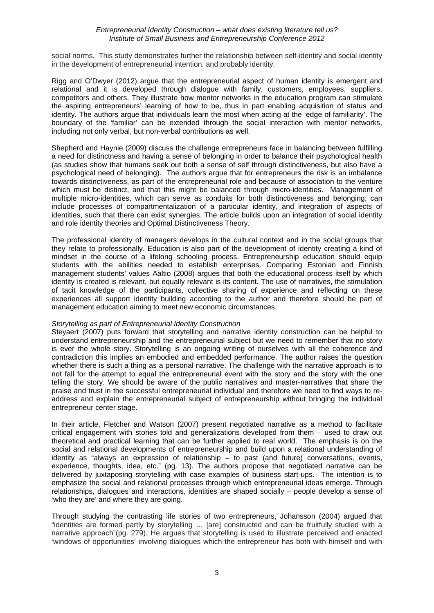social norms. This study demonstrates further the relationship between self-identity and social identity in the development of entrepreneurial intention, and probably identity.

Rigg and O'Dwyer (2012) argue that the entrepreneurial aspect of human identity is emergent and relational and it is developed through dialogue with family, customers, employees, suppliers, competitors and others. They illustrate how mentor networks in the education program can stimulate the aspiring entrepreneurs' learning of how to be, thus in part enabling acquisition of status and identity. The authors argue that individuals learn the most when acting at the 'edge of familiarity'. The boundary of the 'familiar' can be extended through the social interaction with mentor networks, including not only verbal, but non-verbal contributions as well.

Shepherd and Haynie (2009) discuss the challenge entrepreneurs face in balancing between fulfilling a need for distinctness and having a sense of belonging in order to balance their psychological health (as studies show that humans seek out both a sense of self through distinctiveness, but also have a psychological need of belonging). The authors argue that for entrepreneurs the risk is an imbalance towards distinctiveness, as part of the entrepreneurial role and because of association to the venture which must be distinct, and that this might be balanced through micro-identities. Management of multiple micro-identities, which can serve as conduits for both distinctiveness and belonging, can include processes of compartmentalization of a particular identity, and integration of aspects of identities, such that there can exist synergies. The article builds upon an integration of social identity and role identity theories and Optimal Distinctiveness Theory.

The professional identity of managers develops in the cultural context and in the social groups that they relate to professionally. Education is also part of the development of identity creating a kind of mindset in the course of a lifelong schooling process. Entrepreneurship education should equip students with the abilities needed to establish enterprises. Comparing Estonian and Finnish management students' values Aaltio (2008) argues that both the educational process itself by which identity is created is relevant, but equally relevant is its content. The use of narratives, the stimulation of tacit knowledge of the participants, collective sharing of experience and reflecting on these experiences all support identity building according to the author and therefore should be part of management education aiming to meet new economic circumstances.

### *Storytelling as part of Entrepreneurial Identity Construction*

Steyaert (2007) puts forward that storytelling and narrative identity construction can be helpful to understand entrepreneurship and the entrepreneurial subject but we need to remember that no story is ever the whole story. Storytelling is an ongoing writing of ourselves with all the coherence and contradiction this implies an embodied and embedded performance. The author raises the question whether there is such a thing as a personal narrative. The challenge with the narrative approach is to not fall for the attempt to equal the entrepreneurial event with the story and the story with the one telling the story. We should be aware of the public narratives and master-narratives that share the praise and trust in the successful entrepreneurial individual and therefore we need to find ways to readdress and explain the entrepreneurial subject of entrepreneurship without bringing the individual entrepreneur center stage.

In their article, Fletcher and Watson (2007) present negotiated narrative as a method to facilitate critical engagement with stories told and generalizations developed from them – used to draw out theoretical and practical learning that can be further applied to real world. The emphasis is on the social and relational developments of entrepreneurship and build upon a relational understanding of identity as "always an expression of relationship – to past (and future) conversations, events, experience, thoughts, idea, etc." (pg. 13). The authors propose that negotiated narrative can be delivered by juxtaposing storytelling with case examples of business start-ups. The intention is to emphasize the social and relational processes through which entrepreneurial ideas emerge. Through relationships, dialogues and interactions, identities are shaped socially – people develop a sense of 'who they are' and where they are going.

Through studying the contrasting life stories of two entrepreneurs, Johansson (2004) argued that "identities are formed partly by storytelling … [are] constructed and can be fruitfully studied with a narrative approach"(pg. 279). He argues that storytelling is used to illustrate perceived and enacted 'windows of opportunities' involving dialogues which the entrepreneur has both with himself and with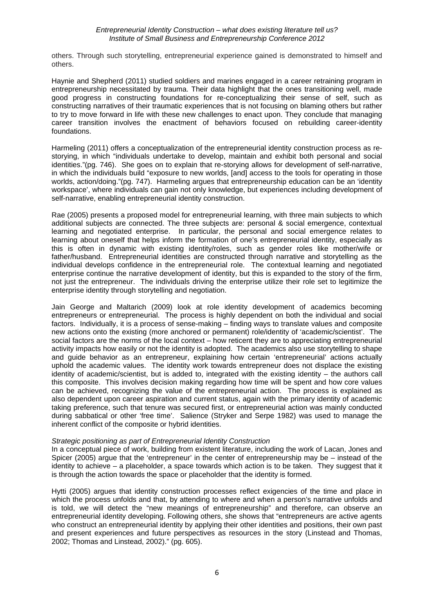others. Through such storytelling, entrepreneurial experience gained is demonstrated to himself and others.

Haynie and Shepherd (2011) studied soldiers and marines engaged in a career retraining program in entrepreneurship necessitated by trauma. Their data highlight that the ones transitioning well, made good progress in constructing foundations for re-conceptualizing their sense of self, such as constructing narratives of their traumatic experiences that is not focusing on blaming others but rather to try to move forward in life with these new challenges to enact upon. They conclude that managing career transition involves the enactment of behaviors focused on rebuilding career-identity foundations.

Harmeling (2011) offers a conceptualization of the entrepreneurial identity construction process as restorying, in which "individuals undertake to develop, maintain and exhibit both personal and social identities."(pg. 746). She goes on to explain that re-storying allows for development of self-narrative, in which the individuals build "exposure to new worlds, [and] access to the tools for operating in those worlds, action/doing."(pg. 747). Harmeling argues that entrepreneurship education can be an 'identity workspace', where individuals can gain not only knowledge, but experiences including development of self-narrative, enabling entrepreneurial identity construction.

Rae (2005) presents a proposed model for entrepreneurial learning, with three main subjects to which additional subjects are connected. The three subjects are: personal & social emergence, contextual learning and negotiated enterprise. In particular, the personal and social emergence relates to learning about oneself that helps inform the formation of one's entrepreneurial identity, especially as this is often in dynamic with existing identity/roles, such as gender roles like mother/wife or father/husband. Entrepreneurial identities are constructed through narrative and storytelling as the individual develops confidence in the entrepreneurial role. The contextual learning and negotiated enterprise continue the narrative development of identity, but this is expanded to the story of the firm, not just the entrepreneur. The individuals driving the enterprise utilize their role set to legitimize the enterprise identity through storytelling and negotiation.

Jain George and Maltarich (2009) look at role identity development of academics becoming entrepreneurs or entrepreneurial. The process is highly dependent on both the individual and social factors. Individually, it is a process of sense-making – finding ways to translate values and composite new actions onto the existing (more anchored or permanent) role/identity of 'academic/scientist'. The social factors are the norms of the local context – how reticent they are to appreciating entrepreneurial activity impacts how easily or not the identity is adopted. The academics also use storytelling to shape and guide behavior as an entrepreneur, explaining how certain 'entrepreneurial' actions actually uphold the academic values. The identity work towards entrepreneur does not displace the existing identity of academic/scientist, but is added to, integrated with the existing identity – the authors call this composite. This involves decision making regarding how time will be spent and how core values can be achieved, recognizing the value of the entrepreneurial action. The process is explained as also dependent upon career aspiration and current status, again with the primary identity of academic taking preference, such that tenure was secured first, or entrepreneurial action was mainly conducted during sabbatical or other 'free time'. Salience (Stryker and Serpe 1982) was used to manage the inherent conflict of the composite or hybrid identities.

### *Strategic positioning as part of Entrepreneurial Identity Construction*

In a conceptual piece of work, building from existent literature, including the work of Lacan, Jones and Spicer (2005) argue that the 'entrepreneur' in the center of entrepreneurship may be – instead of the identity to achieve – a placeholder, a space towards which action is to be taken. They suggest that it is through the action towards the space or placeholder that the identity is formed.

Hytti (2005) argues that identity construction processes reflect exigencies of the time and place in which the process unfolds and that, by attending to where and when a person's narrative unfolds and is told, we will detect the "new meanings of entrepreneurship" and therefore, can observe an entrepreneurial identity developing. Following others, she shows that "entrepreneurs are active agents who construct an entrepreneurial identity by applying their other identities and positions, their own past and present experiences and future perspectives as resources in the story (Linstead and Thomas, 2002; Thomas and Linstead, 2002)." (pg. 605).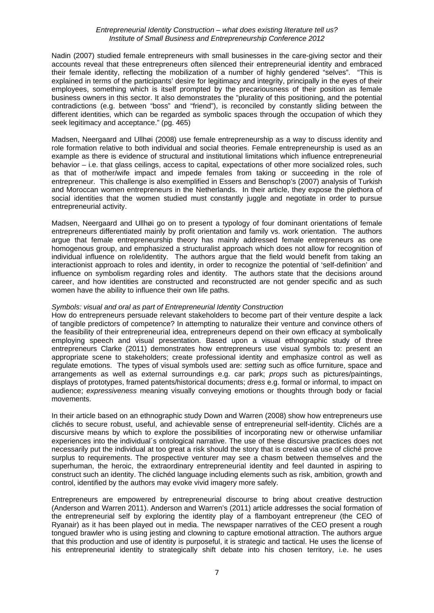Nadin (2007) studied female entrepreneurs with small businesses in the care-giving sector and their accounts reveal that these entrepreneurs often silenced their entrepreneurial identity and embraced their female identity, reflecting the mobilization of a number of highly gendered "selves". "This is explained in terms of the participants' desire for legitimacy and integrity, principally in the eyes of their employees, something which is itself prompted by the precariousness of their position as female business owners in this sector. It also demonstrates the "plurality of this positioning, and the potential contradictions (e.g. between "boss" and "friend"), is reconciled by constantly sliding between the different identities, which can be regarded as symbolic spaces through the occupation of which they seek legitimacy and acceptance." (pg. 465)

Madsen, Neergaard and Ullhøi (2008) use female entrepreneurship as a way to discuss identity and role formation relative to both individual and social theories. Female entrepreneurship is used as an example as there is evidence of structural and institutional limitations which influence entrepreneurial behavior – i.e. that glass ceilings, access to capital, expectations of other more socialized roles, such as that of mother/wife impact and impede females from taking or succeeding in the role of entrepreneur. This challenge is also exemplified in Essers and Benschop's (2007) analysis of Turkish and Moroccan women entrepreneurs in the Netherlands. In their article, they expose the plethora of social identities that the women studied must constantly juggle and negotiate in order to pursue entrepreneurial activity.

Madsen, Neergaard and Ullhøi go on to present a typology of four dominant orientations of female entrepreneurs differentiated mainly by profit orientation and family vs. work orientation. The authors argue that female entrepreneurship theory has mainly addressed female entrepreneurs as one homogenous group, and emphasized a structuralist approach which does not allow for recognition of individual influence on role/identity. The authors argue that the field would benefit from taking an interactionist approach to roles and identity, in order to recognize the potential of 'self-definition' and influence on symbolism regarding roles and identity. The authors state that the decisions around career, and how identities are constructed and reconstructed are not gender specific and as such women have the ability to influence their own life paths.

### *Symbols: visual and oral as part of Entrepreneurial Identity Construction*

How do entrepreneurs persuade relevant stakeholders to become part of their venture despite a lack of tangible predictors of competence? In attempting to naturalize their venture and convince others of the feasibility of their entrepreneurial idea, entrepreneurs depend on their own efficacy at symbolically employing speech and visual presentation. Based upon a visual ethnographic study of three entrepreneurs Clarke (2011) demonstrates how entrepreneurs use visual symbols to: present an appropriate scene to stakeholders; create professional identity and emphasize control as well as regulate emotions. The types of visual symbols used are: *setting* such as office furniture, space and arrangements as well as external surroundings e.g. car park; *props* such as pictures/paintings, displays of prototypes, framed patents/historical documents; *dress* e.g. formal or informal, to impact on audience; *expressiveness* meaning visually conveying emotions or thoughts through body or facial movements.

In their article based on an ethnographic study Down and Warren (2008) show how entrepreneurs use clichés to secure robust, useful, and achievable sense of entrepreneurial self-identity. Clichés are a discursive means by which to explore the possibilities of incorporating new or otherwise unfamiliar experiences into the individual´s ontological narrative. The use of these discursive practices does not necessarily put the individual at too great a risk should the story that is created via use of cliché prove surplus to requirements. The prospective venturer may see a chasm between themselves and the superhuman, the heroic, the extraordinary entrepreneurial identity and feel daunted in aspiring to construct such an identity. The clichéd language including elements such as risk, ambition, growth and control, identified by the authors may evoke vivid imagery more safely.

Entrepreneurs are empowered by entrepreneurial discourse to bring about creative destruction (Anderson and Warren 2011). Anderson and Warren's (2011) article addresses the social formation of the entrepreneurial self by exploring the identity play of a flamboyant entrepreneur (the CEO of Ryanair) as it has been played out in media. The newspaper narratives of the CEO present a rough tongued brawler who is using jesting and clowning to capture emotional attraction. The authors argue that this production and use of identity is purposeful, it is strategic and tactical. He uses the license of his entrepreneurial identity to strategically shift debate into his chosen territory, i.e. he uses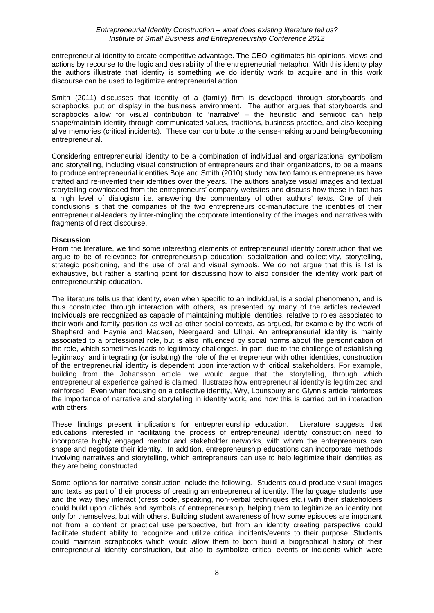entrepreneurial identity to create competitive advantage. The CEO legitimates his opinions, views and actions by recourse to the logic and desirability of the entrepreneurial metaphor. With this identity play the authors illustrate that identity is something we do identity work to acquire and in this work discourse can be used to legitimize entrepreneurial action.

Smith (2011) discusses that identity of a (family) firm is developed through storyboards and scrapbooks, put on display in the business environment. The author argues that storyboards and scrapbooks allow for visual contribution to 'narrative' – the heuristic and semiotic can help shape/maintain identity through communicated values, traditions, business practice, and also keeping alive memories (critical incidents). These can contribute to the sense-making around being/becoming entrepreneurial.

Considering entrepreneurial identity to be a combination of individual and organizational symbolism and storytelling, including visual construction of entrepreneurs and their organizations, to be a means to produce entrepreneurial identities Boje and Smith (2010) study how two famous entrepreneurs have crafted and re-invented their identities over the years. The authors analyze visual images and textual storytelling downloaded from the entrepreneurs' company websites and discuss how these in fact has a high level of dialogism i.e. answering the commentary of other authors' texts. One of their conclusions is that the companies of the two entrepreneurs co-manufacture the identities of their entrepreneurial-leaders by inter-mingling the corporate intentionality of the images and narratives with fragments of direct discourse.

# **Discussion**

From the literature, we find some interesting elements of entrepreneurial identity construction that we argue to be of relevance for entrepreneurship education: socialization and collectivity, storytelling, strategic positioning, and the use of oral and visual symbols. We do not argue that this is list is exhaustive, but rather a starting point for discussing how to also consider the identity work part of entrepreneurship education.

The literature tells us that identity, even when specific to an individual, is a social phenomenon, and is thus constructed through interaction with others, as presented by many of the articles reviewed. Individuals are recognized as capable of maintaining multiple identities, relative to roles associated to their work and family position as well as other social contexts, as argued, for example by the work of Shepherd and Haynie and Madsen, Neergaard and Ullhøi. An entrepreneurial identity is mainly associated to a professional role, but is also influenced by social norms about the personification of the role, which sometimes leads to legitimacy challenges. In part, due to the challenge of establishing legitimacy, and integrating (or isolating) the role of the entrepreneur with other identities, construction of the entrepreneurial identity is dependent upon interaction with critical stakeholders. For example, building from the Johansson article, we would argue that the storytelling, through which entrepreneurial experience gained is claimed, illustrates how entrepreneurial identity is legitimized and reinforced. Even when focusing on a collective identity, Wry, Lounsbury and Glynn's article reinforces the importance of narrative and storytelling in identity work, and how this is carried out in interaction with others.

These findings present implications for entrepreneurship education. Literature suggests that educations interested in facilitating the process of entrepreneurial identity construction need to incorporate highly engaged mentor and stakeholder networks, with whom the entrepreneurs can shape and negotiate their identity. In addition, entrepreneurship educations can incorporate methods involving narratives and storytelling, which entrepreneurs can use to help legitimize their identities as they are being constructed.

Some options for narrative construction include the following. Students could produce visual images and texts as part of their process of creating an entrepreneurial identity. The language students' use and the way they interact (dress code, speaking, non-verbal techniques etc.) with their stakeholders could build upon clichés and symbols of entrepreneurship, helping them to legitimize an identity not only for themselves, but with others. Building student awareness of how some episodes are important not from a content or practical use perspective, but from an identity creating perspective could facilitate student ability to recognize and utilize critical incidents/events to their purpose. Students could maintain scrapbooks which would allow them to both build a biographical history of their entrepreneurial identity construction, but also to symbolize critical events or incidents which were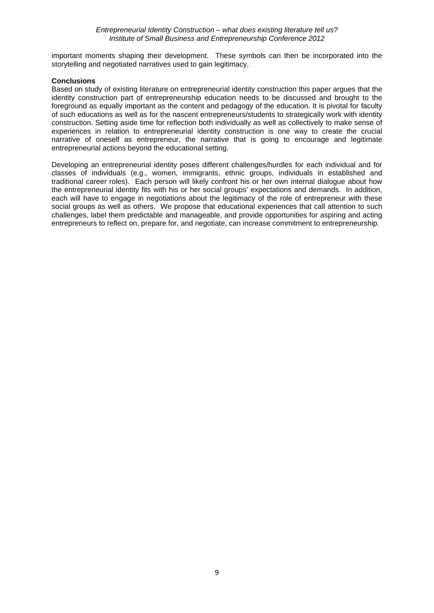important moments shaping their development. These symbols can then be incorporated into the storytelling and negotiated narratives used to gain legitimacy.

## **Conclusions**

Based on study of existing literature on entrepreneurial identity construction this paper argues that the identity construction part of entrepreneurship education needs to be discussed and brought to the foreground as equally important as the content and pedagogy of the education. It is pivotal for faculty of such educations as well as for the nascent entrepreneurs/students to strategically work with identity construction. Setting aside time for reflection both individually as well as collectively to make sense of experiences in relation to entrepreneurial identity construction is one way to create the crucial narrative of oneself as entrepreneur, the narrative that is going to encourage and legitimate entrepreneurial actions beyond the educational setting.

Developing an entrepreneurial identity poses different challenges/hurdles for each individual and for classes of individuals (e.g., women, immigrants, ethnic groups, individuals in established and traditional career roles). Each person will likely confront his or her own internal dialogue about how the entrepreneurial identity fits with his or her social groups' expectations and demands. In addition, each will have to engage in negotiations about the legitimacy of the role of entrepreneur with these social groups as well as others. We propose that educational experiences that call attention to such challenges, label them predictable and manageable, and provide opportunities for aspiring and acting entrepreneurs to reflect on, prepare for, and negotiate, can increase commitment to entrepreneurship.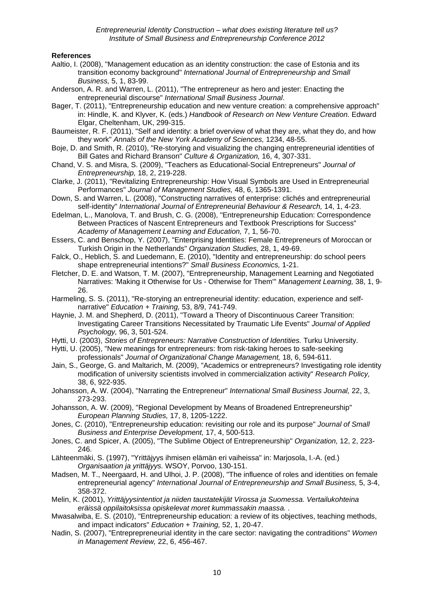## **References**

- Aaltio, I. (2008), "Management education as an identity construction: the case of Estonia and its transition economy background" *International Journal of Entrepreneurship and Small Business,* 5, 1, 83-99.
- Anderson, A. R. and Warren, L. (2011), "The entrepreneur as hero and jester: Enacting the entrepreneurial discourse" *International Small Business Journal*.
- Bager, T. (2011), "Entrepreneurship education and new venture creation: a comprehensive approach" in: Hindle, K. and Klyver, K. (eds.) *Handbook of Research on New Venture Creation.* Edward Elgar, Cheltenham, UK, 299-315.
- Baumeister, R. F. (2011), "Self and identity: a brief overview of what they are, what they do, and how they work" *Annals of the New York Academy of Sciences,* 1234, 48-55.
- Boje, D. and Smith, R. (2010), "Re-storying and visualizing the changing entrepreneurial identities of Bill Gates and Richard Branson" *Culture & Organization,* 16, 4, 307-331.
- Chand, V. S. and Misra, S. (2009), "Teachers as Educational-Social Entrepreneurs" *Journal of Entrepreneurship,* 18, 2, 219-228.
- Clarke, J. (2011), "Revitalizing Entrepreneurship: How Visual Symbols are Used in Entrepreneurial Performances" *Journal of Management Studies,* 48, 6, 1365-1391.
- Down, S. and Warren, L. (2008), "Constructing narratives of enterprise: clichés and entrepreneurial self-identity" *International Journal of Entrepreneurial Behaviour & Research,* 14, 1, 4-23.
- Edelman, L., Manolova, T. and Brush, C. G. (2008), "Entrepreneurship Education: Correspondence Between Practices of Nascent Entrepreneurs and Textbook Prescriptions for Success" *Academy of Management Learning and Education,* 7, 1, 56-70.
- Essers, C. and Benschop, Y. (2007), "Enterprising Identities: Female Entrepreneurs of Moroccan or Turkish Origin in the Netherlands" *Organization Studies,* 28, 1, 49-69.
- Falck, O., Heblich, S. and Luedemann, E. (2010), "Identity and entrepreneurship: do school peers shape entrepreneurial intentions?" *Small Business Economics,* 1-21.
- Fletcher, D. E. and Watson, T. M. (2007), "Entrepreneurship, Management Learning and Negotiated Narratives: 'Making it Otherwise for Us - Otherwise for Them'" *Management Learning,* 38, 1, 9- 26.
- Harmeling, S. S. (2011), "Re-storying an entrepreneurial identity: education, experience and selfnarrative" *Education + Training,* 53, 8/9, 741-749.
- Haynie, J. M. and Shepherd, D. (2011), "Toward a Theory of Discontinuous Career Transition: Investigating Career Transitions Necessitated by Traumatic Life Events" *Journal of Applied Psychology,* 96, 3, 501-524.
- Hytti, U. (2003), *Stories of Entrepreneurs: Narrative Construction of Identities.* Turku University.
- Hytti, U. (2005), "New meanings for entrepreneurs: from risk-taking heroes to safe-seeking professionals" *Journal of Organizational Change Management,* 18, 6, 594-611.
- Jain, S., George, G. and Maltarich, M. (2009), "Academics or entrepreneurs? Investigating role identity modification of university scientists involved in commercialization activity" *Research Policy,* 38, 6, 922-935.
- Johansson, A. W. (2004), "Narrating the Entrepreneur" *International Small Business Journal,* 22, 3, 273-293.
- Johansson, A. W. (2009), "Regional Development by Means of Broadened Entrepreneurship" *European Planning Studies,* 17, 8, 1205-1222.
- Jones, C. (2010), "Entrepreneurship education: revisiting our role and its purpose" *Journal of Small Business and Enterprise Development,* 17, 4, 500-513.
- Jones, C. and Spicer, A. (2005), "The Sublime Object of Entrepreneurship" *Organization,* 12, 2, 223- 246.
- Lähteenmäki, S. (1997), "Yrittäjyys ihmisen elämän eri vaiheissa" in: Marjosola, I.-A. (ed.) *Organisaation ja yrittäjyys.* WSOY, Porvoo, 130-151.
- Madsen, M. T., Neergaard, H. and Ulhoi, J. P. (2008), "The influence of roles and identities on female entrepreneurial agency" *International Journal of Entrepreneurship and Small Business,* 5, 3-4, 358-372.
- Melin, K. (2001), *Yrittäjyysintentiot ja niiden taustatekijät Virossa ja Suomessa. Vertailukohteina eräissä oppilaitoksissa opiskelevat moret kummassakin maassa. .*
- Mwasalwiba, E. S. (2010), "Entrepreneurship education: a review of its objectives, teaching methods, and impact indicators" *Education + Training,* 52, 1, 20-47.
- Nadin, S. (2007), "Entreprepreneurial identity in the care sector: navigating the contraditions" *Women in Management Review,* 22, 6, 456-467.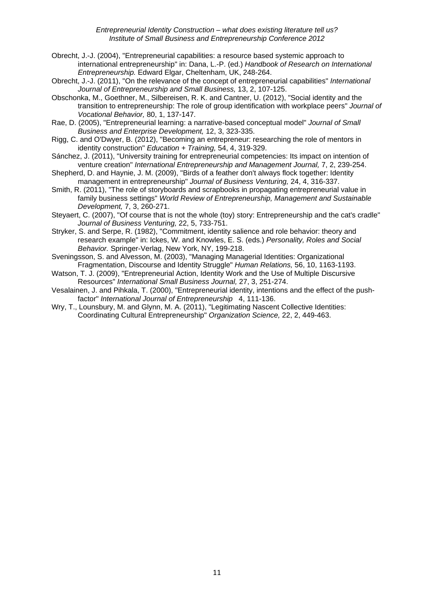- Obrecht, J.-J. (2004), "Entrepreneurial capabilities: a resource based systemic approach to international entrepreneurship" in: Dana, L.-P. (ed.) *Handbook of Research on International Entrepreneurship.* Edward Elgar, Cheltenham, UK, 248-264.
- Obrecht, J.-J. (2011), "On the relevance of the concept of entrepreneurial capabilities" *International Journal of Entrepreneurship and Small Business,* 13, 2, 107-125.
- Obschonka, M., Goethner, M., Silbereisen, R. K. and Cantner, U. (2012), "Social identity and the transition to entrepreneurship: The role of group identification with workplace peers" *Journal of Vocational Behavior,* 80, 1, 137-147.
- Rae, D. (2005), "Entrepreneurial learning: a narrative-based conceptual model" *Journal of Small Business and Enterprise Development,* 12, 3, 323-335.
- Rigg, C. and O'Dwyer, B. (2012), "Becoming an entrepreneur: researching the role of mentors in identity construction" *Education + Training,* 54, 4, 319-329.
- Sánchez, J. (2011), "University training for entrepreneurial competencies: Its impact on intention of venture creation" *International Entrepreneurship and Management Journal,* 7, 2, 239-254.
- Shepherd, D. and Haynie, J. M. (2009), "Birds of a feather don't always flock together: Identity management in entrepreneurship" *Journal of Business Venturing,* 24, 4, 316-337.
- Smith, R. (2011), "The role of storyboards and scrapbooks in propagating entrepreneurial value in family business settings" *World Review of Entrepreneurship, Management and Sustainable Development,* 7, 3, 260-271.
- Steyaert, C. (2007), "Of course that is not the whole (toy) story: Entrepreneurship and the cat's cradle" *Journal of Business Venturing,* 22, 5, 733-751.
- Stryker, S. and Serpe, R. (1982), "Commitment, identity salience and role behavior: theory and research example" in: Ickes, W. and Knowles, E. S. (eds.) *Personality, Roles and Social Behavior.* Springer-Verlag, New York, NY, 199-218.
- Sveningsson, S. and Alvesson, M. (2003), "Managing Managerial Identities: Organizational Fragmentation, Discourse and Identity Struggle" *Human Relations,* 56, 10, 1163-1193.
- Watson, T. J. (2009), "Entrepreneurial Action, Identity Work and the Use of Multiple Discursive Resources" *International Small Business Journal,* 27, 3, 251-274.
- Vesalainen, J. and Pihkala, T. (2000), "Entrepreneurial identity, intentions and the effect of the pushfactor" *International Journal of Entrepreneurship* 4, 111-136.
- Wry, T., Lounsbury, M. and Glynn, M. A. (2011), "Legitimating Nascent Collective Identities: Coordinating Cultural Entrepreneurship" *Organization Science,* 22, 2, 449-463.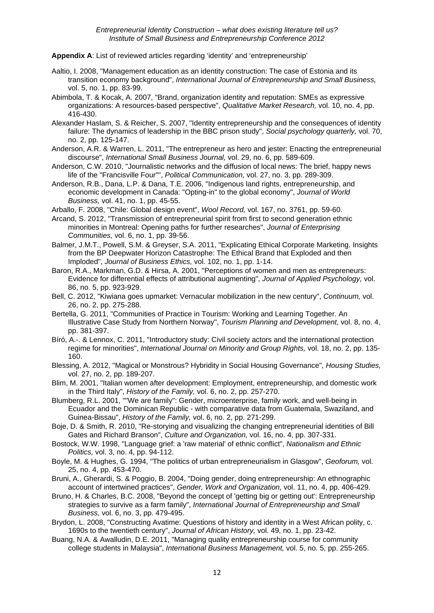**Appendix A**: List of reviewed articles regarding 'identity' and 'entrepreneurship'

- Aaltio, I. 2008, "Management education as an identity construction: The case of Estonia and its transition economy background", *International Journal of Entrepreneurship and Small Business,*  vol. 5, no. 1, pp. 83-99.
- Abimbola, T. & Kocak, A. 2007, "Brand, organization identity and reputation: SMEs as expressive organizations: A resources-based perspective", *Qualitative Market Research,* vol. 10, no. 4, pp. 416-430.
- Alexander Haslam, S. & Reicher, S. 2007, "Identity entrepreneurship and the consequences of identity failure: The dynamics of leadership in the BBC prison study", *Social psychology quarterly,* vol. 70, no. 2, pp. 125-147.
- Anderson, A.R. & Warren, L. 2011, "The entrepreneur as hero and jester: Enacting the entrepreneurial discourse", *International Small Business Journal,* vol. 29, no. 6, pp. 589-609.
- Anderson, C.W. 2010, "Journalistic networks and the diffusion of local news: The brief, happy news life of the "Francisville Four"", *Political Communication,* vol. 27, no. 3, pp. 289-309.
- Anderson, R.B., Dana, L.P. & Dana, T.E. 2006, "Indigenous land rights, entrepreneurship, and economic development in Canada: "Opting-in" to the global economy", *Journal of World Business,* vol. 41, no. 1, pp. 45-55.
- Arballo, F. 2008, "Chile: Global design event", *Wool Record,* vol. 167, no. 3761, pp. 59-60.
- Arcand, S. 2012, "Transmission of entrepreneurial spirit from first to second generation ethnic minorities in Montreal: Opening paths for further researches", *Journal of Enterprising Communities,* vol. 6, no. 1, pp. 39-56.
- Balmer, J.M.T., Powell, S.M. & Greyser, S.A. 2011, "Explicating Ethical Corporate Marketing. Insights from the BP Deepwater Horizon Catastrophe: The Ethical Brand that Exploded and then Imploded", *Journal of Business Ethics,* vol. 102, no. 1, pp. 1-14.
- Baron, R.A., Markman, G.D. & Hirsa, A. 2001, "Perceptions of women and men as entrepreneurs: Evidence for differential effects of attributional augmenting", *Journal of Applied Psychology,* vol. 86, no. 5, pp. 923-929.
- Bell, C. 2012, "Kiwiana goes upmarket: Vernacular mobilization in the new century", *Continuum,* vol. 26, no. 2, pp. 275-288.
- Bertella, G. 2011, "Communities of Practice in Tourism: Working and Learning Together. An Illustrative Case Study from Northern Norway", *Tourism Planning and Development,* vol. 8, no. 4, pp. 381-397.
- Bíró, A.-. & Lennox, C. 2011, "Introductory study: Civil society actors and the international protection regime for minorities", *International Journal on Minority and Group Rights,* vol. 18, no. 2, pp. 135- 160.
- Blessing, A. 2012, "Magical or Monstrous? Hybridity in Social Housing Governance", *Housing Studies,*  vol. 27, no. 2, pp. 189-207.
- Blim, M. 2001, "Italian women after development: Employment, entrepreneurship, and domestic work in the Third Italy", *History of the Family,* vol. 6, no. 2, pp. 257-270.
- Blumberg, R.L. 2001, ""We are family": Gender, microenterprise, family work, and well-being in Ecuador and the Dominican Republic - with comparative data from Guatemala, Swaziland, and Guinea-Bissau", *History of the Family,* vol. 6, no. 2, pp. 271-299.
- Boje, D. & Smith, R. 2010, "Re-storying and visualizing the changing entrepreneurial identities of Bill Gates and Richard Branson", *Culture and Organization,* vol. 16, no. 4, pp. 307-331.
- Bostock, W.W. 1998, "Language grief: a 'raw material' of ethnic conflict", *Nationalism and Ethnic Politics,* vol. 3, no. 4, pp. 94-112.
- Boyle, M. & Hughes, G. 1994, "The politics of urban entrepreneurialism in Glasgow", *Geoforum,* vol. 25, no. 4, pp. 453-470.
- Bruni, A., Gherardi, S. & Poggio, B. 2004, "Doing gender, doing entrepreneurship: An ethnographic account of intertwined practices", *Gender, Work and Organization,* vol. 11, no. 4, pp. 406-429.
- Bruno, H. & Charles, B.C. 2008, "Beyond the concept of 'getting big or getting out': Entrepreneurship strategies to survive as a farm family", *International Journal of Entrepreneurship and Small Business,* vol. 6, no. 3, pp. 479-495.
- Brydon, L. 2008, "Constructing Avatime: Questions of history and identity in a West African polity, c. 1690s to the twentieth century", *Journal of African History,* vol. 49, no. 1, pp. 23-42.
- Buang, N.A. & Awalludin, D.E. 2011, "Managing quality entrepreneurship course for community college students in Malaysia", *International Business Management,* vol. 5, no. 5, pp. 255-265.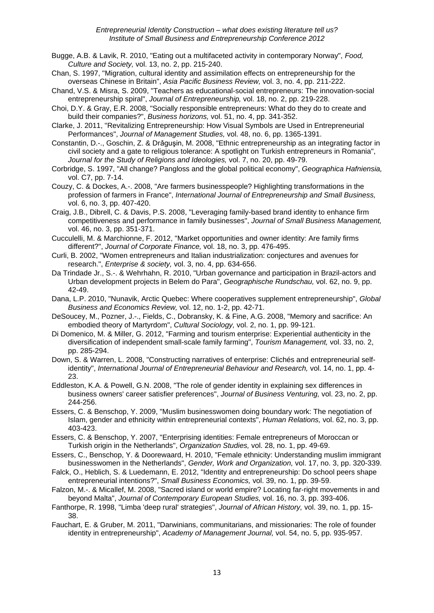- Bugge, A.B. & Lavik, R. 2010, "Eating out a multifaceted activity in contemporary Norway", *Food, Culture and Society,* vol. 13, no. 2, pp. 215-240.
- Chan, S. 1997, "Migration, cultural identity and assimilation effects on entrepreneurship for the overseas Chinese in Britain", *Asia Pacific Business Review,* vol. 3, no. 4, pp. 211-222.
- Chand, V.S. & Misra, S. 2009, "Teachers as educational-social entrepreneurs: The innovation-social entrepreneurship spiral", *Journal of Entrepreneurship,* vol. 18, no. 2, pp. 219-228.
- Choi, D.Y. & Gray, E.R. 2008, "Socially responsible entrepreneurs: What do they do to create and build their companies?", *Business horizons,* vol. 51, no. 4, pp. 341-352.
- Clarke, J. 2011, "Revitalizing Entrepreneurship: How Visual Symbols are Used in Entrepreneurial Performances", *Journal of Management Studies,* vol. 48, no. 6, pp. 1365-1391.
- Constantin, D.-., Goschin, Z. & Drǎguşin, M. 2008, "Ethnic entrepreneurship as an integrating factor in civil society and a gate to religious tolerance: A spotlight on Turkish entrepreneurs in Romania", *Journal for the Study of Religions and Ideologies,* vol. 7, no. 20, pp. 49-79.
- Corbridge, S. 1997, "All change? Pangloss and the global political economy", *Geographica Hafniensia,*  vol. C7, pp. 7-14.
- Couzy, C. & Dockes, A.-. 2008, "Are farmers businesspeople? Highlighting transformations in the profession of farmers in France", *International Journal of Entrepreneurship and Small Business,*  vol. 6, no. 3, pp. 407-420.
- Craig, J.B., Dibrell, C. & Davis, P.S. 2008, "Leveraging family-based brand identity to enhance firm competitiveness and performance in family businesses", *Journal of Small Business Management,*  vol. 46, no. 3, pp. 351-371.
- Cucculelli, M. & Marchionne, F. 2012, "Market opportunities and owner identity: Are family firms different?", *Journal of Corporate Finance,* vol. 18, no. 3, pp. 476-495.
- Curli, B. 2002, "Women entrepreneurs and Italian industrialization: conjectures and avenues for research.", *Enterprise & society,* vol. 3, no. 4, pp. 634-656.
- Da Trindade Jr., S.-. & Wehrhahn, R. 2010, "Urban governance and participation in Brazil-actors and Urban development projects in Belem do Para", *Geographische Rundschau,* vol. 62, no. 9, pp. 42-49.
- Dana, L.P. 2010, "Nunavik, Arctic Quebec: Where cooperatives supplement entrepreneurship", *Global Business and Economics Review,* vol. 12, no. 1-2, pp. 42-71.
- DeSoucey, M., Pozner, J.-., Fields, C., Dobransky, K. & Fine, A.G. 2008, "Memory and sacrifice: An embodied theory of Martyrdom", *Cultural Sociology,* vol. 2, no. 1, pp. 99-121.
- Di Domenico, M. & Miller, G. 2012, "Farming and tourism enterprise: Experiential authenticity in the diversification of independent small-scale family farming", *Tourism Management,* vol. 33, no. 2, pp. 285-294.
- Down, S. & Warren, L. 2008, "Constructing narratives of enterprise: Clichés and entrepreneurial selfidentity", *International Journal of Entrepreneurial Behaviour and Research,* vol. 14, no. 1, pp. 4- 23.
- Eddleston, K.A. & Powell, G.N. 2008, "The role of gender identity in explaining sex differences in business owners' career satisfier preferences", *Journal of Business Venturing,* vol. 23, no. 2, pp. 244-256.
- Essers, C. & Benschop, Y. 2009, "Muslim businesswomen doing boundary work: The negotiation of Islam, gender and ethnicity within entrepreneurial contexts", *Human Relations,* vol. 62, no. 3, pp. 403-423.
- Essers, C. & Benschop, Y. 2007, "Enterprising identities: Female entrepreneurs of Moroccan or Turkish origin in the Netherlands", *Organization Studies,* vol. 28, no. 1, pp. 49-69.
- Essers, C., Benschop, Y. & Doorewaard, H. 2010, "Female ethnicity: Understanding muslim immigrant businesswomen in the Netherlands", *Gender, Work and Organization,* vol. 17, no. 3, pp. 320-339.
- Falck, O., Heblich, S. & Luedemann, E. 2012, "Identity and entrepreneurship: Do school peers shape entrepreneurial intentions?", *Small Business Economics,* vol. 39, no. 1, pp. 39-59.
- Falzon, M.-. & Micallef, M. 2008, "Sacred island or world empire? Locating far-right movements in and beyond Malta", *Journal of Contemporary European Studies,* vol. 16, no. 3, pp. 393-406.
- Fanthorpe, R. 1998, "Limba 'deep rural' strategies", *Journal of African History,* vol. 39, no. 1, pp. 15- 38.
- Fauchart, E. & Gruber, M. 2011, "Darwinians, communitarians, and missionaries: The role of founder identity in entrepreneurship", *Academy of Management Journal,* vol. 54, no. 5, pp. 935-957.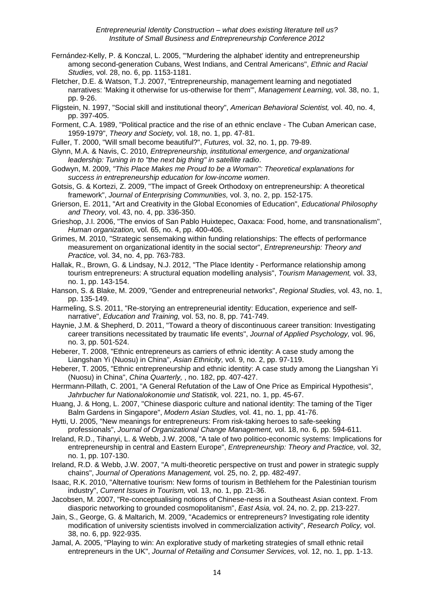- Fernández-Kelly, P. & Konczal, L. 2005, "'Murdering the alphabet' identity and entrepreneurship among second-generation Cubans, West Indians, and Central Americans", *Ethnic and Racial Studies,* vol. 28, no. 6, pp. 1153-1181.
- Fletcher, D.E. & Watson, T.J. 2007, "Entrepreneurship, management learning and negotiated narratives: 'Making it otherwise for us-otherwise for them'", *Management Learning,* vol. 38, no. 1, pp. 9-26.
- Fligstein, N. 1997, "Social skill and institutional theory", *American Behavioral Scientist,* vol. 40, no. 4, pp. 397-405.
- Forment, C.A. 1989, "Political practice and the rise of an ethnic enclave The Cuban American case, 1959-1979", *Theory and Society,* vol. 18, no. 1, pp. 47-81.
- Fuller, T. 2000, "Will small become beautiful?", *Futures,* vol. 32, no. 1, pp. 79-89.
- Glynn, M.A. & Navis, C. 2010, *Entrepreneurship, institutional emergence, and organizational leadership: Tuning in to "the next big thing" in satellite radio*.
- Godwyn, M. 2009, *"This Place Makes me Proud to be a Woman": Theoretical explanations for success in entrepreneurship education for low-income women*.
- Gotsis, G. & Kortezi, Z. 2009, "The impact of Greek Orthodoxy on entrepreneurship: A theoretical framework", *Journal of Enterprising Communities,* vol. 3, no. 2, pp. 152-175.
- Grierson, E. 2011, "Art and Creativity in the Global Economies of Education", *Educational Philosophy and Theory,* vol. 43, no. 4, pp. 336-350.
- Grieshop, J.I. 2006, "The envios of San Pablo Huixtepec, Oaxaca: Food, home, and transnationalism", *Human organization,* vol. 65, no. 4, pp. 400-406.
- Grimes, M. 2010, "Strategic sensemaking within funding relationships: The effects of performance measurement on organizational identity in the social sector", *Entrepreneurship: Theory and Practice,* vol. 34, no. 4, pp. 763-783.
- Hallak, R., Brown, G. & Lindsay, N.J. 2012, "The Place Identity Performance relationship among tourism entrepreneurs: A structural equation modelling analysis", *Tourism Management,* vol. 33, no. 1, pp. 143-154.
- Hanson, S. & Blake, M. 2009, "Gender and entrepreneurial networks", *Regional Studies,* vol. 43, no. 1, pp. 135-149.
- Harmeling, S.S. 2011, "Re-storying an entrepreneurial identity: Education, experience and selfnarrative", *Education and Training,* vol. 53, no. 8, pp. 741-749.
- Haynie, J.M. & Shepherd, D. 2011, "Toward a theory of discontinuous career transition: Investigating career transitions necessitated by traumatic life events", *Journal of Applied Psychology,* vol. 96, no. 3, pp. 501-524.
- Heberer, T. 2008, "Ethnic entrepreneurs as carriers of ethnic identity: A case study among the Liangshan Yi (Nuosu) in China", *Asian Ethnicity,* vol. 9, no. 2, pp. 97-119.
- Heberer, T. 2005, "Ethnic entrepreneurship and ethnic identity: A case study among the Liangshan Yi (Nuosu) in China", *China Quarterly,* , no. 182, pp. 407-427.
- Herrmann-Pillath, C. 2001, "A General Refutation of the Law of One Price as Empirical Hypothesis", *Jahrbucher fur Nationalokonomie und Statistik,* vol. 221, no. 1, pp. 45-67.
- Huang, J. & Hong, L. 2007, "Chinese diasporic culture and national identity: The taming of the Tiger Balm Gardens in Singapore", *Modern Asian Studies,* vol. 41, no. 1, pp. 41-76.
- Hytti, U. 2005, "New meanings for entrepreneurs: From risk-taking heroes to safe-seeking professionals", *Journal of Organizational Change Management,* vol. 18, no. 6, pp. 594-611.
- Ireland, R.D., Tihanyi, L. & Webb, J.W. 2008, "A tale of two politico-economic systems: Implications for entrepreneurship in central and Eastern Europe", *Entrepreneurship: Theory and Practice,* vol. 32, no. 1, pp. 107-130.
- Ireland, R.D. & Webb, J.W. 2007, "A multi-theoretic perspective on trust and power in strategic supply chains", *Journal of Operations Management,* vol. 25, no. 2, pp. 482-497.
- Isaac, R.K. 2010, "Alternative tourism: New forms of tourism in Bethlehem for the Palestinian tourism industry", *Current Issues in Tourism,* vol. 13, no. 1, pp. 21-36.
- Jacobsen, M. 2007, "Re-conceptualising notions of Chinese-ness in a Southeast Asian context. From diasporic networking to grounded cosmopolitanism", *East Asia,* vol. 24, no. 2, pp. 213-227.
- Jain, S., George, G. & Maltarich, M. 2009, "Academics or entrepreneurs? Investigating role identity modification of university scientists involved in commercialization activity", *Research Policy,* vol. 38, no. 6, pp. 922-935.
- Jamal, A. 2005, "Playing to win: An explorative study of marketing strategies of small ethnic retail entrepreneurs in the UK", *Journal of Retailing and Consumer Services,* vol. 12, no. 1, pp. 1-13.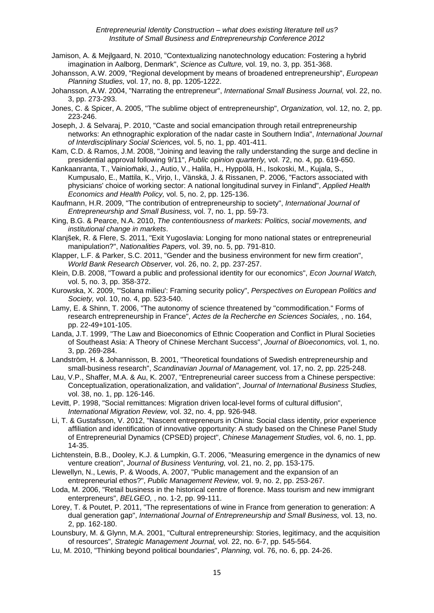- Jamison, A. & Mejlgaard, N. 2010, "Contextualizing nanotechnology education: Fostering a hybrid imagination in Aalborg, Denmark", *Science as Culture,* vol. 19, no. 3, pp. 351-368.
- Johansson, A.W. 2009, "Regional development by means of broadened entrepreneurship", *European Planning Studies,* vol. 17, no. 8, pp. 1205-1222.
- Johansson, A.W. 2004, "Narrating the entrepreneur", *International Small Business Journal,* vol. 22, no. 3, pp. 273-293.
- Jones, C. & Spicer, A. 2005, "The sublime object of entrepreneurship", *Organization,* vol. 12, no. 2, pp. 223-246.
- Joseph, J. & Selvaraj, P. 2010, "Caste and social emancipation through retail entrepreneurship networks: An ethnographic exploration of the nadar caste in Southern India", *International Journal of Interdisciplinary Social Sciences,* vol. 5, no. 1, pp. 401-411.
- Kam, C.D. & Ramos, J.M. 2008, "Joining and leaving the rally understanding the surge and decline in presidential approval following 9/11", *Public opinion quarterly,* vol. 72, no. 4, pp. 619-650.
- Kankaanranta, T., Vainiom̈aki, J., Autio, V., Halila, H., Hyppölä, H., Isokoski, M., Kujala, S., Kumpusalo, E., Mattila, K., Virjo, I., Vänskä, J. & Rissanen, P. 2006, "Factors associated with physicians' choice of working sector: A national longitudinal survey in Finland", *Applied Health Economics and Health Policy,* vol. 5, no. 2, pp. 125-136.
- Kaufmann, H.R. 2009, "The contribution of entrepreneurship to society", *International Journal of Entrepreneurship and Small Business,* vol. 7, no. 1, pp. 59-73.
- King, B.G. & Pearce, N.A. 2010, *The contentiousness of markets: Politics, social movements, and institutional change in markets*.
- Klanjšek, R. & Flere, S. 2011, "Exit Yugoslavia: Longing for mono national states or entrepreneurial manipulation?", *Nationalities Papers,* vol. 39, no. 5, pp. 791-810.
- Klapper, L.F. & Parker, S.C. 2011, "Gender and the business environment for new firm creation", *World Bank Research Observer,* vol. 26, no. 2, pp. 237-257.
- Klein, D.B. 2008, "Toward a public and professional identity for our economics", *Econ Journal Watch,*  vol. 5, no. 3, pp. 358-372.
- Kurowska, X. 2009, "'Solana milieu': Framing security policy", *Perspectives on European Politics and Society,* vol. 10, no. 4, pp. 523-540.
- Lamy, E. & Shinn, T. 2006, "The autonomy of science threatened by "commodification." Forms of research entrepreneurship in France", *Actes de la Recherche en Sciences Sociales,* , no. 164, pp. 22-49+101-105.
- Landa, J.T. 1999, "The Law and Bioeconomics of Ethnic Cooperation and Conflict in Plural Societies of Southeast Asia: A Theory of Chinese Merchant Success", *Journal of Bioeconomics,* vol. 1, no. 3, pp. 269-284.
- Landström, H. & Johannisson, B. 2001, "Theoretical foundations of Swedish entrepreneurship and small-business research", *Scandinavian Journal of Management,* vol. 17, no. 2, pp. 225-248.
- Lau, V.P., Shaffer, M.A. & Au, K. 2007, "Entrepreneurial career success from a Chinese perspective: Conceptualization, operationalization, and validation", *Journal of International Business Studies,*  vol. 38, no. 1, pp. 126-146.
- Levitt, P. 1998, "Social remittances: Migration driven local-level forms of cultural diffusion", *International Migration Review,* vol. 32, no. 4, pp. 926-948.
- Li, T. & Gustafsson, V. 2012, "Nascent entrepreneurs in China: Social class identity, prior experience affiliation and identification of innovative opportunity: A study based on the Chinese Panel Study of Entrepreneurial Dynamics (CPSED) project", *Chinese Management Studies,* vol. 6, no. 1, pp. 14-35.
- Lichtenstein, B.B., Dooley, K.J. & Lumpkin, G.T. 2006, "Measuring emergence in the dynamics of new venture creation", *Journal of Business Venturing,* vol. 21, no. 2, pp. 153-175.
- Llewellyn, N., Lewis, P. & Woods, A. 2007, "Public management and the expansion of an entrepreneurial ethos?", *Public Management Review,* vol. 9, no. 2, pp. 253-267.
- Loda, M. 2006, "Retail business in the historical centre of florence. Mass tourism and new immigrant enterpreneurs", *BELGEO,* , no. 1-2, pp. 99-111.
- Lorey, T. & Poutet, P. 2011, "The representations of wine in France from generation to generation: A dual generation gap", *International Journal of Entrepreneurship and Small Business,* vol. 13, no. 2, pp. 162-180.
- Lounsbury, M. & Glynn, M.A. 2001, "Cultural entrepreneurship: Stories, legitimacy, and the acquisition of resources", *Strategic Management Journal,* vol. 22, no. 6-7, pp. 545-564.
- Lu, M. 2010, "Thinking beyond political boundaries", *Planning,* vol. 76, no. 6, pp. 24-26.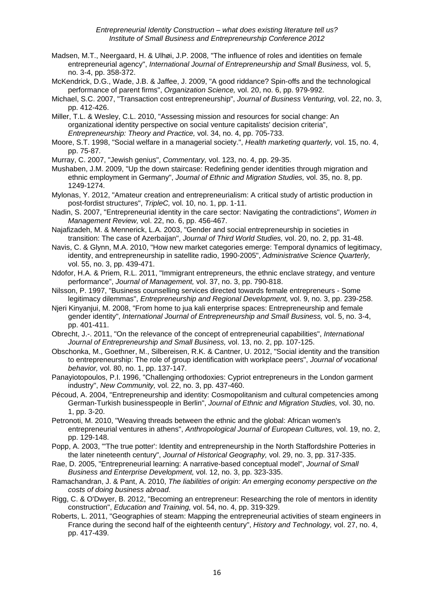- Madsen, M.T., Neergaard, H. & Ulhøi, J.P. 2008, "The influence of roles and identities on female entrepreneurial agency", *International Journal of Entrepreneurship and Small Business,* vol. 5, no. 3-4, pp. 358-372.
- McKendrick, D.G., Wade, J.B. & Jaffee, J. 2009, "A good riddance? Spin-offs and the technological performance of parent firms", *Organization Science,* vol. 20, no. 6, pp. 979-992.
- Michael, S.C. 2007, "Transaction cost entrepreneurship", *Journal of Business Venturing,* vol. 22, no. 3, pp. 412-426.
- Miller, T.L. & Wesley, C.L. 2010, "Assessing mission and resources for social change: An organizational identity perspective on social venture capitalists' decision criteria", *Entrepreneurship: Theory and Practice,* vol. 34, no. 4, pp. 705-733.
- Moore, S.T. 1998, "Social welfare in a managerial society.", *Health marketing quarterly,* vol. 15, no. 4, pp. 75-87.
- Murray, C. 2007, "Jewish genius", *Commentary,* vol. 123, no. 4, pp. 29-35.
- Mushaben, J.M. 2009, "Up the down staircase: Redefining gender identities through migration and ethnic employment in Germany", *Journal of Ethnic and Migration Studies,* vol. 35, no. 8, pp. 1249-1274.
- Mylonas, Y. 2012, "Amateur creation and entrepreneurialism: A critical study of artistic production in post-fordist structures", *TripleC,* vol. 10, no. 1, pp. 1-11.
- Nadin, S. 2007, "Entrepreneurial identity in the care sector: Navigating the contradictions", *Women in Management Review,* vol. 22, no. 6, pp. 456-467.
- Najafizadeh, M. & Mennerick, L.A. 2003, "Gender and social entrepreneurship in societies in transition: The case of Azerbaijan", *Journal of Third World Studies,* vol. 20, no. 2, pp. 31-48.
- Navis, C. & Glynn, M.A. 2010, "How new market categories emerge: Temporal dynamics of legitimacy, identity, and entrepreneurship in satellite radio, 1990-2005", *Administrative Science Quarterly,*  vol. 55, no. 3, pp. 439-471.
- Ndofor, H.A. & Priem, R.L. 2011, "Immigrant entrepreneurs, the ethnic enclave strategy, and venture performance", *Journal of Management,* vol. 37, no. 3, pp. 790-818.
- Nilsson, P. 1997, "Business counselling services directed towards female entrepreneurs Some legitimacy dilemmas", *Entrepreneurship and Regional Development,* vol. 9, no. 3, pp. 239-258.
- Njeri Kinyanjui, M. 2008, "From home to jua kali enterprise spaces: Entrepreneurship and female gender identity", *International Journal of Entrepreneurship and Small Business,* vol. 5, no. 3-4, pp. 401-411.
- Obrecht, J.-. 2011, "On the relevance of the concept of entrepreneurial capabilities", *International Journal of Entrepreneurship and Small Business,* vol. 13, no. 2, pp. 107-125.
- Obschonka, M., Goethner, M., Silbereisen, R.K. & Cantner, U. 2012, "Social identity and the transition to entrepreneurship: The role of group identification with workplace peers", *Journal of vocational behavior,* vol. 80, no. 1, pp. 137-147.
- Panayiotopoulos, P.I. 1996, "Challenging orthodoxies: Cypriot entrepreneurs in the London garment industry", *New Community,* vol. 22, no. 3, pp. 437-460.
- Pécoud, A. 2004, "Entrepreneurship and identity: Cosmopolitanism and cultural competencies among German-Turkish businesspeople in Berlin", *Journal of Ethnic and Migration Studies,* vol. 30, no. 1, pp. 3-20.
- Petronoti, M. 2010, "Weaving threads between the ethnic and the global: African women's entrepreneurial ventures in athens", *Anthropological Journal of European Cultures,* vol. 19, no. 2, pp. 129-148.
- Popp, A. 2003, "'The true potter': Identity and entrepreneurship in the North Staffordshire Potteries in the later nineteenth century", *Journal of Historical Geography,* vol. 29, no. 3, pp. 317-335.
- Rae, D. 2005, "Entrepreneurial learning: A narrative-based conceptual model", *Journal of Small Business and Enterprise Development,* vol. 12, no. 3, pp. 323-335.
- Ramachandran, J. & Pant, A. 2010, *The liabilities of origin: An emerging economy perspective on the costs of doing business abroad*.
- Rigg, C. & O'Dwyer, B. 2012, "Becoming an entrepreneur: Researching the role of mentors in identity construction", *Education and Training,* vol. 54, no. 4, pp. 319-329.
- Roberts, L. 2011, "Geographies of steam: Mapping the entrepreneurial activities of steam engineers in France during the second half of the eighteenth century", *History and Technology,* vol. 27, no. 4, pp. 417-439.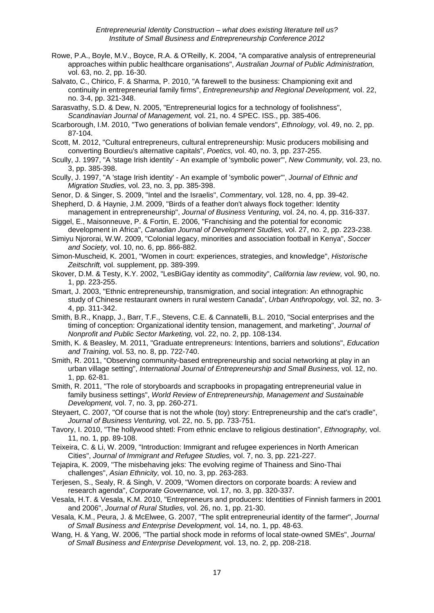- Rowe, P.A., Boyle, M.V., Boyce, R.A. & O'Reilly, K. 2004, "A comparative analysis of entrepreneurial approaches within public healthcare organisations", *Australian Journal of Public Administration,*  vol. 63, no. 2, pp. 16-30.
- Salvato, C., Chirico, F. & Sharma, P. 2010, "A farewell to the business: Championing exit and continuity in entrepreneurial family firms", *Entrepreneurship and Regional Development,* vol. 22, no. 3-4, pp. 321-348.
- Sarasvathy, S.D. & Dew, N. 2005, "Entrepreneurial logics for a technology of foolishness", *Scandinavian Journal of Management,* vol. 21, no. 4 SPEC. ISS., pp. 385-406.
- Scarborough, I.M. 2010, "Two generations of bolivian female vendors", *Ethnology,* vol. 49, no. 2, pp. 87-104.
- Scott, M. 2012, "Cultural entrepreneurs, cultural entrepreneurship: Music producers mobilising and converting Bourdieu's alternative capitals", *Poetics,* vol. 40, no. 3, pp. 237-255.
- Scully, J. 1997, "A 'stage Irish identity' An example of 'symbolic power'", *New Community,* vol. 23, no. 3, pp. 385-398.
- Scully, J. 1997, "A 'stage Irish identity' An example of 'symbolic power'", *Journal of Ethnic and Migration Studies,* vol. 23, no. 3, pp. 385-398.
- Senor, D. & Singer, S. 2009, "Intel and the Israelis", *Commentary,* vol. 128, no. 4, pp. 39-42.

Shepherd, D. & Haynie, J.M. 2009, "Birds of a feather don't always flock together: Identity management in entrepreneurship", *Journal of Business Venturing,* vol. 24, no. 4, pp. 316-337.

- Siggel, E., Maisonneuve, P. & Fortin, E. 2006, "Franchising and the potential for economic development in Africa", *Canadian Journal of Development Studies,* vol. 27, no. 2, pp. 223-238.
- Simiyu Njororai, W.W. 2009, "Colonial legacy, minorities and association football in Kenya", *Soccer and Society,* vol. 10, no. 6, pp. 866-882.
- Simon-Muscheid, K. 2001, "Women in court: experiences, strategies, and knowledge", *Historische Zeitschrift,* vol. supplement, pp. 389-399.
- Skover, D.M. & Testy, K.Y. 2002, "LesBiGay identity as commodity", *California law review,* vol. 90, no. 1, pp. 223-255.
- Smart, J. 2003, "Ethnic entrepreneurship, transmigration, and social integration: An ethnographic study of Chinese restaurant owners in rural western Canada", *Urban Anthropology,* vol. 32, no. 3- 4, pp. 311-342.
- Smith, B.R., Knapp, J., Barr, T.F., Stevens, C.E. & Cannatelli, B.L. 2010, "Social enterprises and the timing of conception: Organizational identity tension, management, and marketing", *Journal of Nonprofit and Public Sector Marketing,* vol. 22, no. 2, pp. 108-134.
- Smith, K. & Beasley, M. 2011, "Graduate entrepreneurs: Intentions, barriers and solutions", *Education and Training,* vol. 53, no. 8, pp. 722-740.
- Smith, R. 2011, "Observing community-based entrepreneurship and social networking at play in an urban village setting", *International Journal of Entrepreneurship and Small Business,* vol. 12, no. 1, pp. 62-81.
- Smith, R. 2011, "The role of storyboards and scrapbooks in propagating entrepreneurial value in family business settings", *World Review of Entrepreneurship, Management and Sustainable Development,* vol. 7, no. 3, pp. 260-271.
- Steyaert, C. 2007, "Of course that is not the whole (toy) story: Entrepreneurship and the cat's cradle", *Journal of Business Venturing,* vol. 22, no. 5, pp. 733-751.
- Tavory, I. 2010, "The hollywood shtetl: From ethnic enclave to religious destination", *Ethnography,* vol. 11, no. 1, pp. 89-108.
- Teixeira, C. & Li, W. 2009, "Introduction: Immigrant and refugee experiences in North American Cities", *Journal of Immigrant and Refugee Studies,* vol. 7, no. 3, pp. 221-227.
- Tejapira, K. 2009, "The misbehaving jeks: The evolving regime of Thainess and Sino-Thai challenges", *Asian Ethnicity,* vol. 10, no. 3, pp. 263-283.
- Terjesen, S., Sealy, R. & Singh, V. 2009, "Women directors on corporate boards: A review and research agenda", *Corporate Governance,* vol. 17, no. 3, pp. 320-337.
- Vesala, H.T. & Vesala, K.M. 2010, "Entrepreneurs and producers: Identities of Finnish farmers in 2001 and 2006", *Journal of Rural Studies,* vol. 26, no. 1, pp. 21-30.
- Vesala, K.M., Peura, J. & McElwee, G. 2007, "The split entrepreneurial identity of the farmer", *Journal of Small Business and Enterprise Development,* vol. 14, no. 1, pp. 48-63.
- Wang, H. & Yang, W. 2006, "The partial shock mode in reforms of local state-owned SMEs", *Journal of Small Business and Enterprise Development,* vol. 13, no. 2, pp. 208-218.